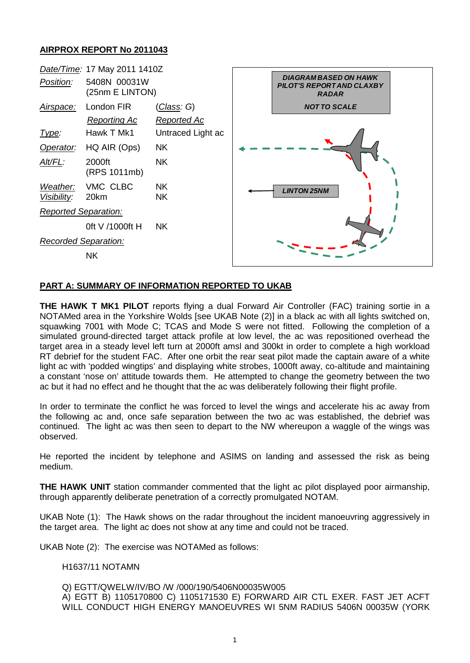## **AIRPROX REPORT No 2011043**



## **PART A: SUMMARY OF INFORMATION REPORTED TO UKAB**

**THE HAWK T MK1 PILOT** reports flying a dual Forward Air Controller (FAC) training sortie in a NOTAMed area in the Yorkshire Wolds [see UKAB Note (2)] in a black ac with all lights switched on, squawking 7001 with Mode C; TCAS and Mode S were not fitted. Following the completion of a simulated ground-directed target attack profile at low level, the ac was repositioned overhead the target area in a steady level left turn at 2000ft amsl and 300kt in order to complete a high workload RT debrief for the student FAC. After one orbit the rear seat pilot made the captain aware of a white light ac with 'podded wingtips' and displaying white strobes, 1000ft away, co-altitude and maintaining a constant 'nose on' attitude towards them. He attempted to change the geometry between the two ac but it had no effect and he thought that the ac was deliberately following their flight profile.

In order to terminate the conflict he was forced to level the wings and accelerate his ac away from the following ac and, once safe separation between the two ac was established, the debrief was continued. The light ac was then seen to depart to the NW whereupon a waggle of the wings was observed.

He reported the incident by telephone and ASIMS on landing and assessed the risk as being medium.

**THE HAWK UNIT** station commander commented that the light ac pilot displayed poor airmanship, through apparently deliberate penetration of a correctly promulgated NOTAM.

UKAB Note (1): The Hawk shows on the radar throughout the incident manoeuvring aggressively in the target area. The light ac does not show at any time and could not be traced.

UKAB Note (2): The exercise was NOTAMed as follows:

#### H1637/11 NOTAMN

Q) EGTT/QWELW/IV/BO /W /000/190/5406N00035W005

A) EGTT B) 1105170800 C) 1105171530 E) FORWARD AIR CTL EXER. FAST JET ACFT WILL CONDUCT HIGH ENERGY MANOEUVRES WI 5NM RADIUS 5406N 00035W (YORK